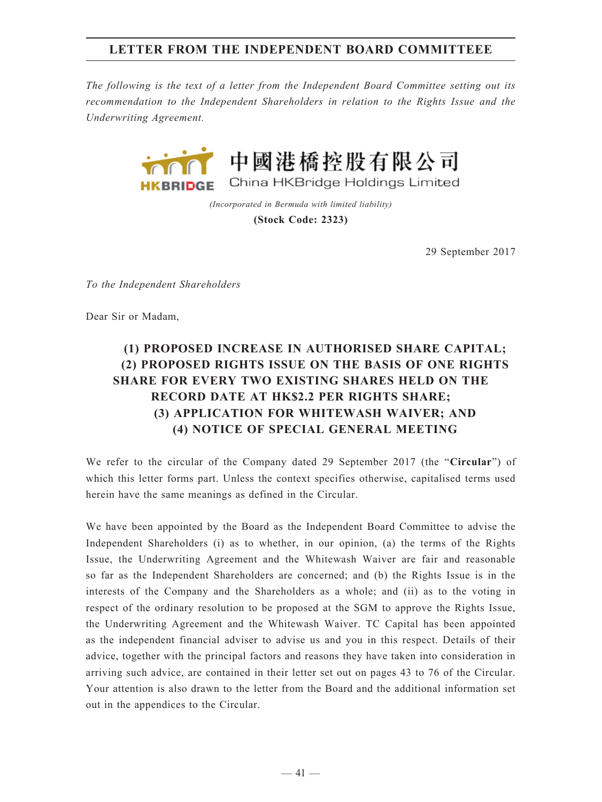## **LETTER FROM THE INDEPENDENT BOARD COMMITTEEE**

*The following is the text of a letter from the Independent Board Committee setting out its recommendation to the Independent Shareholders in relation to the Rights Issue and the Underwriting Agreement.*



*(Incorporated in Bermuda with limited liability)* **(Stock Code: 2323)**

29 September 2017

*To the Independent Shareholders*

Dear Sir or Madam,

## **(1) PROPOSED INCREASE IN AUTHORISED SHARE CAPITAL; (2) PROPOSED RIGHTS ISSUE ON THE BASIS OF ONE RIGHTS SHARE FOR EVERY TWO EXISTING SHARES HELD ON THE RECORD DATE AT HK\$2.2 PER RIGHTS SHARE; (3) APPLICATION FOR WHITEWASH WAIVER; AND (4) NOTICE OF SPECIAL GENERAL MEETING**

We refer to the circular of the Company dated 29 September 2017 (the "**Circular**") of which this letter forms part. Unless the context specifies otherwise, capitalised terms used herein have the same meanings as defined in the Circular.

We have been appointed by the Board as the Independent Board Committee to advise the Independent Shareholders (i) as to whether, in our opinion, (a) the terms of the Rights Issue, the Underwriting Agreement and the Whitewash Waiver are fair and reasonable so far as the Independent Shareholders are concerned; and (b) the Rights Issue is in the interests of the Company and the Shareholders as a whole; and (ii) as to the voting in respect of the ordinary resolution to be proposed at the SGM to approve the Rights Issue, the Underwriting Agreement and the Whitewash Waiver. TC Capital has been appointed as the independent financial adviser to advise us and you in this respect. Details of their advice, together with the principal factors and reasons they have taken into consideration in arriving such advice, are contained in their letter set out on pages 43 to 76 of the Circular. Your attention is also drawn to the letter from the Board and the additional information set out in the appendices to the Circular.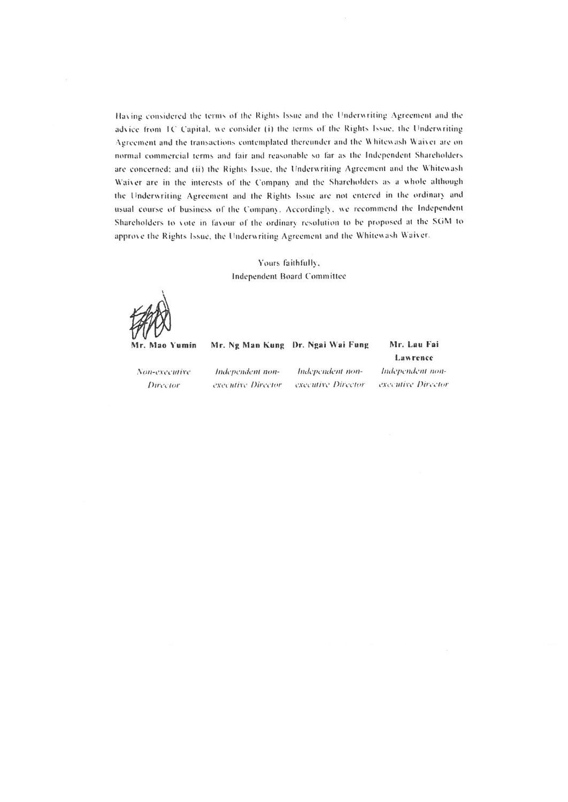Having considered the terms of the Rights Issue and the Underwriting Agreement and the advice from TC Capital, we consider (i) the terms of the Rights Issue, the Underwriting Agreement and the transactions contemplated thereunder and the Whitewash Waiver are on normal commercial terms and fair and reasonable so far as the Independent Shareholders are concerned; and (ii) the Rights Issue, the Underwriting Agreement and the Whitewash Waiver are in the interests of the Company and the Shareholders as a whole although the Underwriting Agreement and the Rights Issue are not entered in the ordinary and usual course of business of the Company. Accordingly, we recommend the Independent Shareholders to vote in favour of the ordinary resolution to be proposed at the SGM to approve the Rights Issue, the Underwriting Agreement and the Whitewash Waiver.

## Yours faithfully, Independent Board Committee

Mr. Mao Yumin

Director

Mr. Ng Man Kung Dr. Ngai Wai Fung Mr. Lau Fai Lawrence Independent non-Non-executive Independent non-Independent nonexecutive Director executive Director executive Director